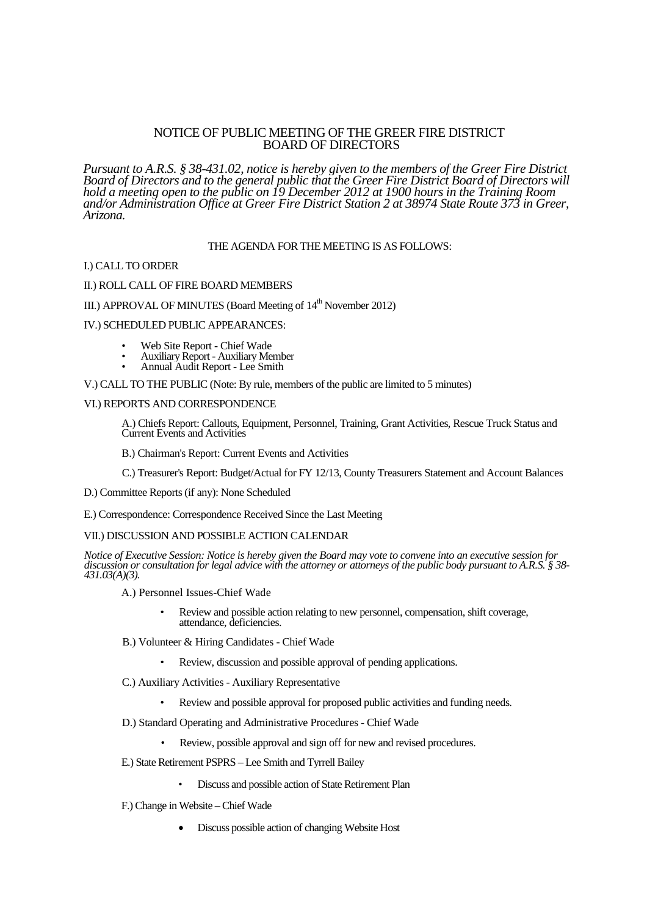# NOTICE OF PUBLIC MEETING OF THE GREER FIRE DISTRICT BOARD OF DIRECTORS

*Pursuant to A.R.S. § 38-431.02, notice is hereby given to the members of the Greer Fire District Board of Directors and to the general public that the Greer Fire District Board of Directors will hold a meeting open to the public on 19 December 2012 at 1900 hours in the Training Room and/or Administration Office at Greer Fire District Station 2 at 38974 State Route 373 in Greer, Arizona.*

# THE AGENDA FOR THE MEETING IS AS FOLLOWS:

#### I.) CALL TO ORDER

## II.) ROLL CALL OF FIRE BOARD MEMBERS

# III.) APPROVAL OF MINUTES (Board Meeting of 14<sup>th</sup> November 2012)

### IV.) SCHEDULED PUBLIC APPEARANCES:

- Web Site Report Chief Wade
- Auxiliary Report Auxiliary Member
- Annual Audit Report Lee Smith

#### V.) CALL TO THE PUBLIC (Note: By rule, members of the public are limited to 5 minutes)

## VI.) REPORTS AND CORRESPONDENCE

A.) Chiefs Report: Callouts, Equipment, Personnel, Training, Grant Activities, Rescue Truck Status and Current Events and Activities

B.) Chairman's Report: Current Events and Activities

C.) Treasurer's Report: Budget/Actual for FY 12/13, County Treasurers Statement and Account Balances

D.) Committee Reports (if any): None Scheduled

E.) Correspondence: Correspondence Received Since the Last Meeting

## VII.) DISCUSSION AND POSSIBLE ACTION CALENDAR

*Notice of Executive Session: Notice is hereby given the Board may vote to convene into an executive session for discussion or consultation for legal advice with the attorney or attorneys of the public body pursuant to A.R.S. § 38- 431.03(A)(3).*

- A.) Personnel Issues-Chief Wade
	- Review and possible action relating to new personnel, compensation, shift coverage, attendance, deficiencies.
- B.) Volunteer & Hiring Candidates Chief Wade
	- Review, discussion and possible approval of pending applications.
- C.) Auxiliary Activities Auxiliary Representative
	- Review and possible approval for proposed public activities and funding needs.
- D.) Standard Operating and Administrative Procedures Chief Wade
	- Review, possible approval and sign off for new and revised procedures.
- E.) State Retirement PSPRS Lee Smith and Tyrrell Bailey
	- Discuss and possible action of State Retirement Plan
- F.) Change in Website Chief Wade
	- Discuss possible action of changing Website Host